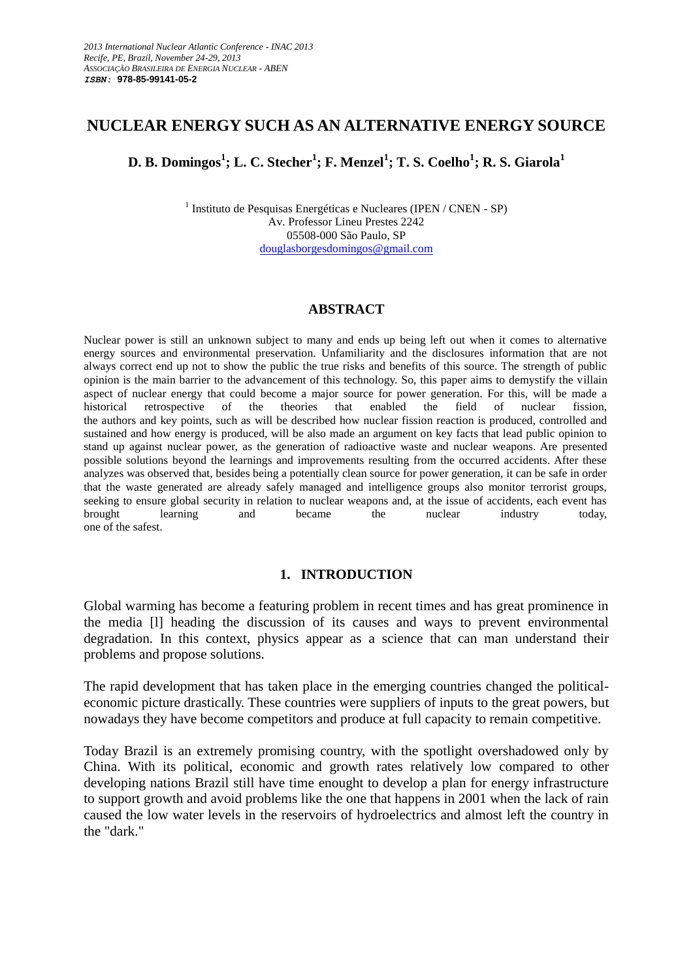# **NUCLEAR ENERGY SUCH AS AN ALTERNATIVE ENERGY SOURCE**

**D. B. Domingos<sup>1</sup> ; L. C. Stecher<sup>1</sup> ; F. Menzel<sup>1</sup> ; T. S. Coelho<sup>1</sup> ; R. S. Giarola<sup>1</sup>**

<sup>1</sup> Instituto de Pesquisas Energéticas e Nucleares (IPEN / CNEN - SP) Av. Professor Lineu Prestes 2242 05508-000 São Paulo, SP [douglasborgesdomingos@gmail.com](mailto:lgasilva@ipen.br)

#### **ABSTRACT**

Nuclear power is still an unknown subject to many and ends up being left out when it comes to alternative energy sources and environmental preservation. Unfamiliarity and the disclosures information that are not always correct end up not to show the public the true risks and benefits of this source. The strength of public opinion is the main barrier to the advancement of this technology. So, this paper aims to demystify the villain aspect of nuclear energy that could become a major source for power generation. For this, will be made a historical retrospective of the theories that enabled the field of nuclear fission, the authors and key points, such as will be described how nuclear fission reaction is produced, controlled and sustained and how energy is produced, will be also made an argument on key facts that lead public opinion to stand up against nuclear power, as the generation of radioactive waste and nuclear weapons. Are presented possible solutions beyond the learnings and improvements resulting from the occurred accidents. After these analyzes was observed that, besides being a potentially clean source for power generation, it can be safe in order that the waste generated are already safely managed and intelligence groups also monitor terrorist groups, seeking to ensure global security in relation to nuclear weapons and, at the issue of accidents, each event has brought learning and became the nuclear industry today, one of the safest.

### **1. INTRODUCTION**

Global warming has become a featuring problem in recent times and has great prominence in the media [l] heading the discussion of its causes and ways to prevent environmental degradation. In this context, physics appear as a science that can man understand their problems and propose solutions.

The rapid development that has taken place in the emerging countries changed the politicaleconomic picture drastically. These countries were suppliers of inputs to the great powers, but nowadays they have become competitors and produce at full capacity to remain competitive.

Today Brazil is an extremely promising country, with the spotlight overshadowed only by China. With its political, economic and growth rates relatively low compared to other developing nations Brazil still have time enought to develop a plan for energy infrastructure to support growth and avoid problems like the one that happens in 2001 when the lack of rain caused the low water levels in the reservoirs of hydroelectrics and almost left the country in the "dark."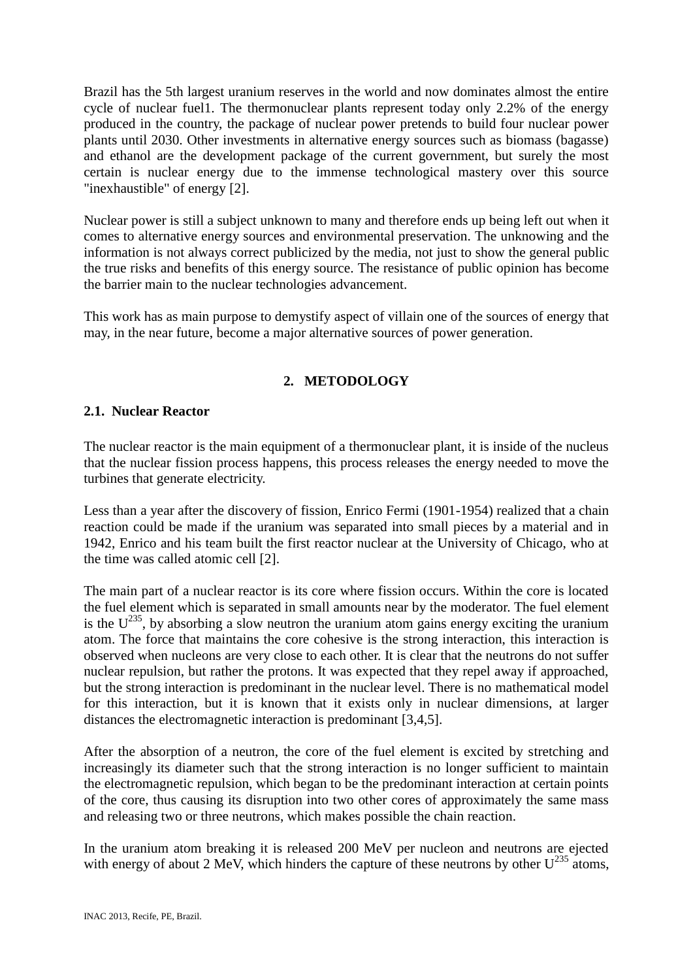Brazil has the 5th largest uranium reserves in the world and now dominates almost the entire cycle of nuclear fuel1. The thermonuclear plants represent today only 2.2% of the energy produced in the country, the package of nuclear power pretends to build four nuclear power plants until 2030. Other investments in alternative energy sources such as biomass (bagasse) and ethanol are the development package of the current government, but surely the most certain is nuclear energy due to the immense technological mastery over this source "inexhaustible" of energy [2].

Nuclear power is still a subject unknown to many and therefore ends up being left out when it comes to alternative energy sources and environmental preservation. The unknowing and the information is not always correct publicized by the media, not just to show the general public the true risks and benefits of this energy source. The resistance of public opinion has become the barrier main to the nuclear technologies advancement.

This work has as main purpose to demystify aspect of villain one of the sources of energy that may, in the near future, become a major alternative sources of power generation.

# **2. METODOLOGY**

## **2.1. Nuclear Reactor**

The nuclear reactor is the main equipment of a thermonuclear plant, it is inside of the nucleus that the nuclear fission process happens, this process releases the energy needed to move the turbines that generate electricity.

Less than a year after the discovery of fission, Enrico Fermi (1901-1954) realized that a chain reaction could be made if the uranium was separated into small pieces by a material and in 1942, Enrico and his team built the first reactor nuclear at the University of Chicago, who at the time was called atomic cell [2].

The main part of a nuclear reactor is its core where fission occurs. Within the core is located the fuel element which is separated in small amounts near by the moderator. The fuel element is the  $U^{235}$ , by absorbing a slow neutron the uranium atom gains energy exciting the uranium atom. The force that maintains the core cohesive is the strong interaction, this interaction is observed when nucleons are very close to each other. It is clear that the neutrons do not suffer nuclear repulsion, but rather the protons. It was expected that they repel away if approached, but the strong interaction is predominant in the nuclear level. There is no mathematical model for this interaction, but it is known that it exists only in nuclear dimensions, at larger distances the electromagnetic interaction is predominant [3,4,5].

After the absorption of a neutron, the core of the fuel element is excited by stretching and increasingly its diameter such that the strong interaction is no longer sufficient to maintain the electromagnetic repulsion, which began to be the predominant interaction at certain points of the core, thus causing its disruption into two other cores of approximately the same mass and releasing two or three neutrons, which makes possible the chain reaction.

In the uranium atom breaking it is released 200 MeV per nucleon and neutrons are ejected with energy of about 2 MeV, which hinders the capture of these neutrons by other  $U^{235}$  atoms,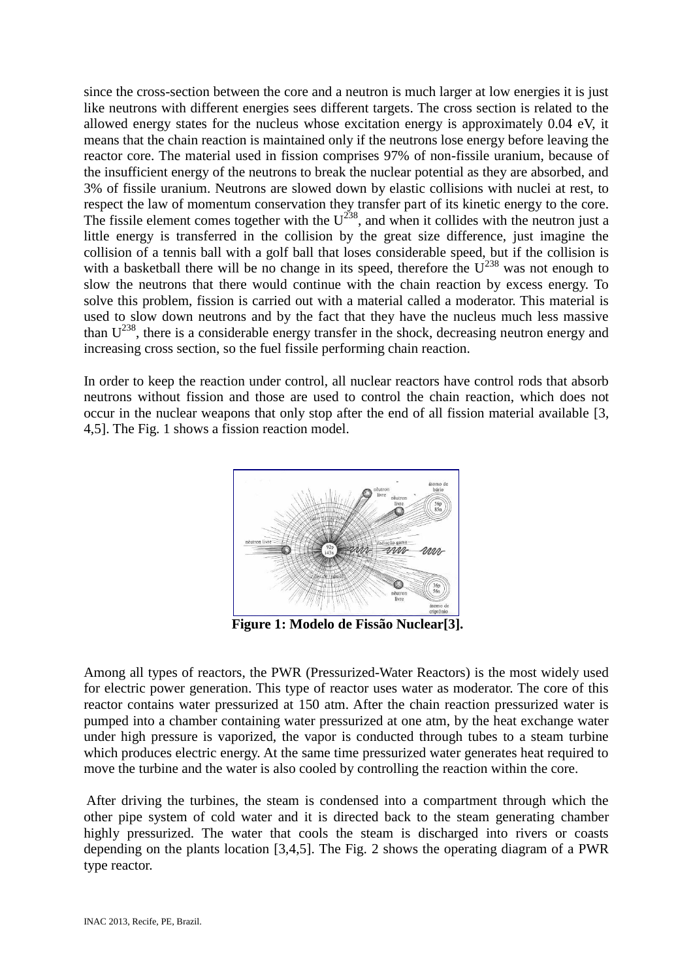since the cross-section between the core and a neutron is much larger at low energies it is just like neutrons with different energies sees different targets. The cross section is related to the allowed energy states for the nucleus whose excitation energy is approximately 0.04 eV, it means that the chain reaction is maintained only if the neutrons lose energy before leaving the reactor core. The material used in fission comprises 97% of non-fissile uranium, because of the insufficient energy of the neutrons to break the nuclear potential as they are absorbed, and 3% of fissile uranium. Neutrons are slowed down by elastic collisions with nuclei at rest, to respect the law of momentum conservation they transfer part of its kinetic energy to the core. The fissile element comes together with the  $U^{238}$ , and when it collides with the neutron just a little energy is transferred in the collision by the great size difference, just imagine the collision of a tennis ball with a golf ball that loses considerable speed, but if the collision is with a basketball there will be no change in its speed, therefore the  $U^{238}$  was not enough to slow the neutrons that there would continue with the chain reaction by excess energy. To solve this problem, fission is carried out with a material called a moderator. This material is used to slow down neutrons and by the fact that they have the nucleus much less massive than  $U^{238}$ , there is a considerable energy transfer in the shock, decreasing neutron energy and increasing cross section, so the fuel fissile performing chain reaction.

In order to keep the reaction under control, all nuclear reactors have control rods that absorb neutrons without fission and those are used to control the chain reaction, which does not occur in the nuclear weapons that only stop after the end of all fission material available [3, 4,5]. The Fig. 1 shows a fission reaction model.



**Figure 1: Modelo de Fissão Nuclear[3].**

Among all types of reactors, the PWR (Pressurized-Water Reactors) is the most widely used for electric power generation. This type of reactor uses water as moderator. The core of this reactor contains water pressurized at 150 atm. After the chain reaction pressurized water is pumped into a chamber containing water pressurized at one atm, by the heat exchange water under high pressure is vaporized, the vapor is conducted through tubes to a steam turbine which produces electric energy. At the same time pressurized water generates heat required to move the turbine and the water is also cooled by controlling the reaction within the core.

After driving the turbines, the steam is condensed into a compartment through which the other pipe system of cold water and it is directed back to the steam generating chamber highly pressurized. The water that cools the steam is discharged into rivers or coasts depending on the plants location [3,4,5]. The Fig. 2 shows the operating diagram of a PWR type reactor.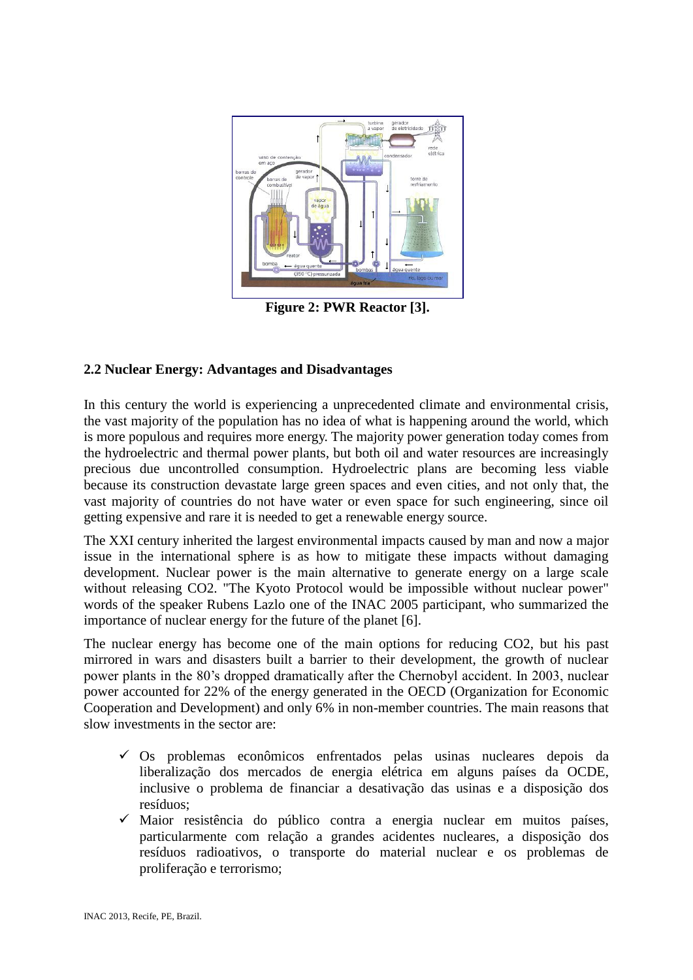

**Figure 2: PWR Reactor [3].**

## **2.2 Nuclear Energy: Advantages and Disadvantages**

In this century the world is experiencing a unprecedented climate and environmental crisis, the vast majority of the population has no idea of what is happening around the world, which is more populous and requires more energy. The majority power generation today comes from the hydroelectric and thermal power plants, but both oil and water resources are increasingly precious due uncontrolled consumption. Hydroelectric plans are becoming less viable because its construction devastate large green spaces and even cities, and not only that, the vast majority of countries do not have water or even space for such engineering, since oil getting expensive and rare it is needed to get a renewable energy source.

The XXI century inherited the largest environmental impacts caused by man and now a major issue in the international sphere is as how to mitigate these impacts without damaging development. Nuclear power is the main alternative to generate energy on a large scale without releasing CO2. "The Kyoto Protocol would be impossible without nuclear power" words of the speaker Rubens Lazlo one of the INAC 2005 participant, who summarized the importance of nuclear energy for the future of the planet [6].

The nuclear energy has become one of the main options for reducing CO2, but his past mirrored in wars and disasters built a barrier to their development, the growth of nuclear power plants in the 80's dropped dramatically after the Chernobyl accident. In 2003, nuclear power accounted for 22% of the energy generated in the OECD (Organization for Economic Cooperation and Development) and only 6% in non-member countries. The main reasons that slow investments in the sector are:

- $\checkmark$  Os problemas econômicos enfrentados pelas usinas nucleares depois da liberalização dos mercados de energia elétrica em alguns países da OCDE, inclusive o problema de financiar a desativação das usinas e a disposição dos resíduos;
- Maior resistência do público contra a energia nuclear em muitos países, particularmente com relação a grandes acidentes nucleares, a disposição dos resíduos radioativos, o transporte do material nuclear e os problemas de proliferação e terrorismo;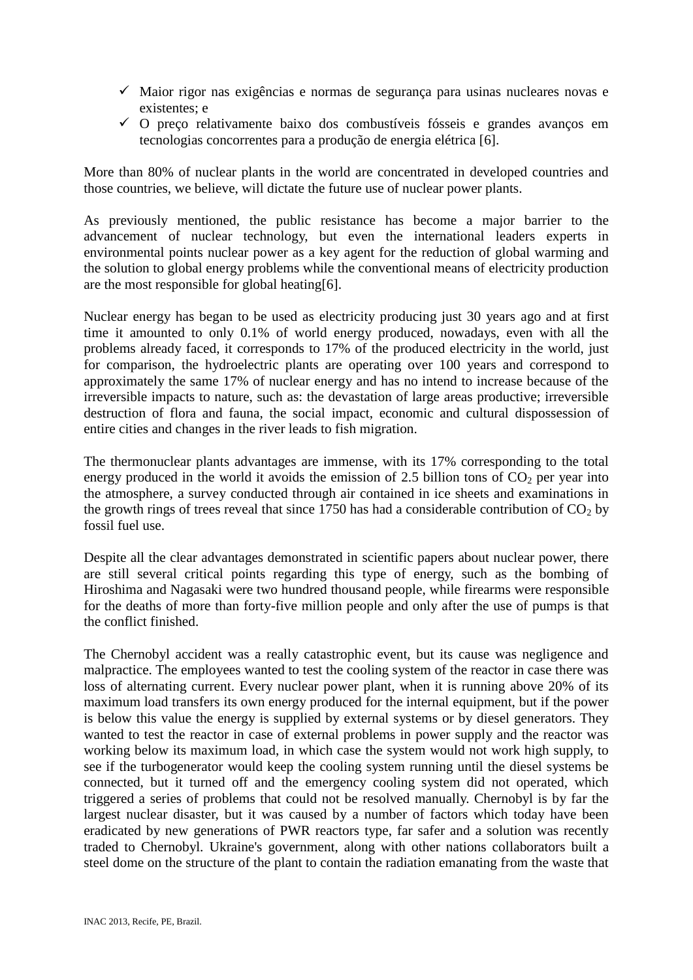- $\checkmark$  Maior rigor nas exigências e normas de segurança para usinas nucleares novas e existentes; e
- $\checkmark$  O preço relativamente baixo dos combustíveis fósseis e grandes avanços em tecnologias concorrentes para a produção de energia elétrica [6].

More than 80% of nuclear plants in the world are concentrated in developed countries and those countries, we believe, will dictate the future use of nuclear power plants.

As previously mentioned, the public resistance has become a major barrier to the advancement of nuclear technology, but even the international leaders experts in environmental points nuclear power as a key agent for the reduction of global warming and the solution to global energy problems while the conventional means of electricity production are the most responsible for global heating[6].

Nuclear energy has began to be used as electricity producing just 30 years ago and at first time it amounted to only 0.1% of world energy produced, nowadays, even with all the problems already faced, it corresponds to 17% of the produced electricity in the world, just for comparison, the hydroelectric plants are operating over 100 years and correspond to approximately the same 17% of nuclear energy and has no intend to increase because of the irreversible impacts to nature, such as: the devastation of large areas productive; irreversible destruction of flora and fauna, the social impact, economic and cultural dispossession of entire cities and changes in the river leads to fish migration.

The thermonuclear plants advantages are immense, with its 17% corresponding to the total energy produced in the world it avoids the emission of 2.5 billion tons of  $CO<sub>2</sub>$  per year into the atmosphere, a survey conducted through air contained in ice sheets and examinations in the growth rings of trees reveal that since 1750 has had a considerable contribution of  $CO<sub>2</sub>$  by fossil fuel use.

Despite all the clear advantages demonstrated in scientific papers about nuclear power, there are still several critical points regarding this type of energy, such as the bombing of Hiroshima and Nagasaki were two hundred thousand people, while firearms were responsible for the deaths of more than forty-five million people and only after the use of pumps is that the conflict finished.

The Chernobyl accident was a really catastrophic event, but its cause was negligence and malpractice. The employees wanted to test the cooling system of the reactor in case there was loss of alternating current. Every nuclear power plant, when it is running above 20% of its maximum load transfers its own energy produced for the internal equipment, but if the power is below this value the energy is supplied by external systems or by diesel generators. They wanted to test the reactor in case of external problems in power supply and the reactor was working below its maximum load, in which case the system would not work high supply, to see if the turbogenerator would keep the cooling system running until the diesel systems be connected, but it turned off and the emergency cooling system did not operated, which triggered a series of problems that could not be resolved manually. Chernobyl is by far the largest nuclear disaster, but it was caused by a number of factors which today have been eradicated by new generations of PWR reactors type, far safer and a solution was recently traded to Chernobyl. Ukraine's government, along with other nations collaborators built a steel dome on the structure of the plant to contain the radiation emanating from the waste that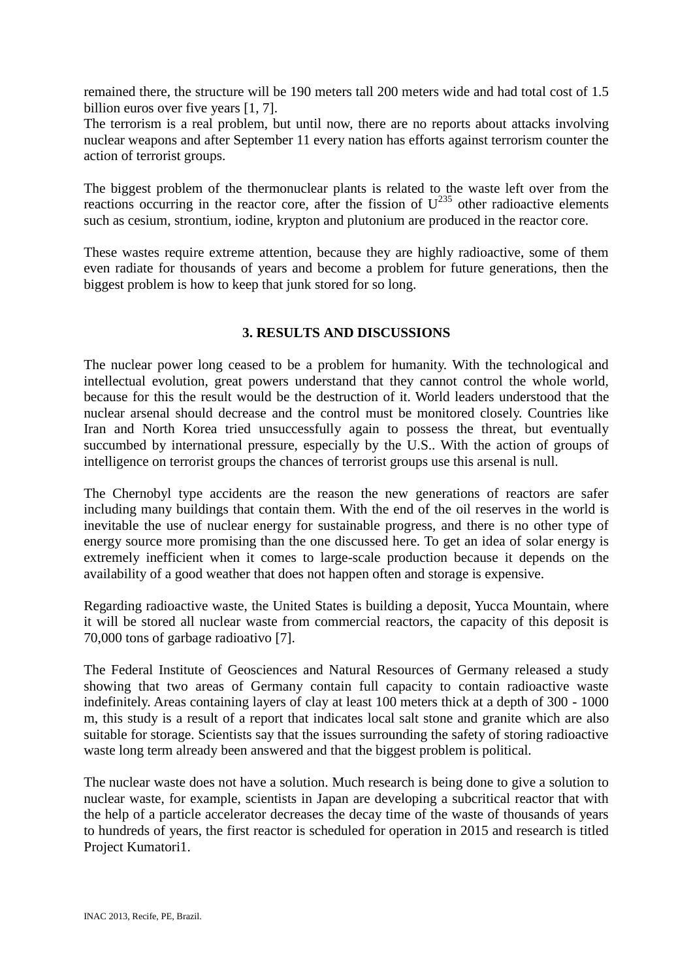remained there, the structure will be 190 meters tall 200 meters wide and had total cost of 1.5 billion euros over five years [1, 7].

The terrorism is a real problem, but until now, there are no reports about attacks involving nuclear weapons and after September 11 every nation has efforts against terrorism counter the action of terrorist groups.

The biggest problem of the thermonuclear plants is related to the waste left over from the reactions occurring in the reactor core, after the fission of  $U^{235}$  other radioactive elements such as cesium, strontium, iodine, krypton and plutonium are produced in the reactor core.

These wastes require extreme attention, because they are highly radioactive, some of them even radiate for thousands of years and become a problem for future generations, then the biggest problem is how to keep that junk stored for so long.

## **3. RESULTS AND DISCUSSIONS**

The nuclear power long ceased to be a problem for humanity. With the technological and intellectual evolution, great powers understand that they cannot control the whole world, because for this the result would be the destruction of it. World leaders understood that the nuclear arsenal should decrease and the control must be monitored closely. Countries like Iran and North Korea tried unsuccessfully again to possess the threat, but eventually succumbed by international pressure, especially by the U.S.. With the action of groups of intelligence on terrorist groups the chances of terrorist groups use this arsenal is null.

The Chernobyl type accidents are the reason the new generations of reactors are safer including many buildings that contain them. With the end of the oil reserves in the world is inevitable the use of nuclear energy for sustainable progress, and there is no other type of energy source more promising than the one discussed here. To get an idea of solar energy is extremely inefficient when it comes to large-scale production because it depends on the availability of a good weather that does not happen often and storage is expensive.

Regarding radioactive waste, the United States is building a deposit, Yucca Mountain, where it will be stored all nuclear waste from commercial reactors, the capacity of this deposit is 70,000 tons of garbage radioativo [7].

The Federal Institute of Geosciences and Natural Resources of Germany released a study showing that two areas of Germany contain full capacity to contain radioactive waste indefinitely. Areas containing layers of clay at least 100 meters thick at a depth of 300 - 1000 m, this study is a result of a report that indicates local salt stone and granite which are also suitable for storage. Scientists say that the issues surrounding the safety of storing radioactive waste long term already been answered and that the biggest problem is political.

The nuclear waste does not have a solution. Much research is being done to give a solution to nuclear waste, for example, scientists in Japan are developing a subcritical reactor that with the help of a particle accelerator decreases the decay time of the waste of thousands of years to hundreds of years, the first reactor is scheduled for operation in 2015 and research is titled Project Kumatori1.